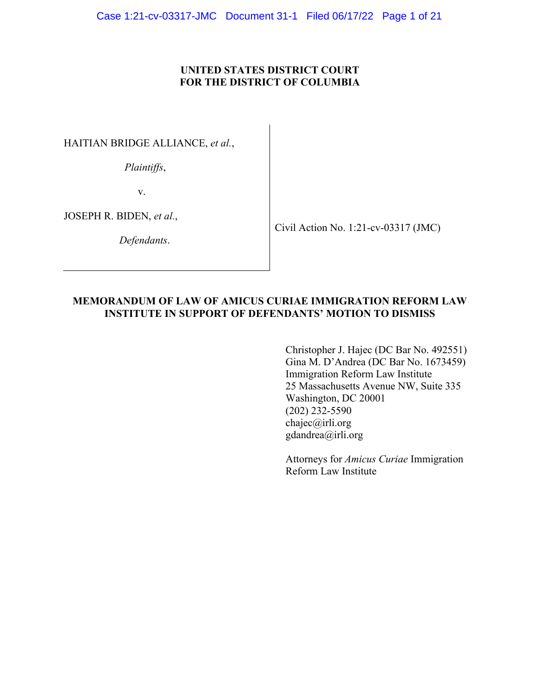## **UNITED STATES DISTRICT COURT FOR THE DISTRICT OF COLUMBIA**

HAITIAN BRIDGE ALLIANCE, *et al.*,

*Plaintiffs*,

v.

JOSEPH R. BIDEN, *et al.*,

*Defendants*.

Civil Action No. 1:21-cv-03317 (JMC)

### **MEMORANDUM OF LAW OF AMICUS CURIAE IMMIGRATION REFORM LAW INSTITUTE IN SUPPORT OF DEFENDANTS' MOTION TO DISMISS**

Christopher J. Hajec (DC Bar No. 492551) Gina M. D'Andrea (DC Bar No. 1673459) Immigration Reform Law Institute 25 Massachusetts Avenue NW, Suite 335 Washington, DC 20001 (202) 232-5590 chajec@irli.org gdandrea@irli.org

Attorneys for *Amicus Curiae* Immigration Reform Law Institute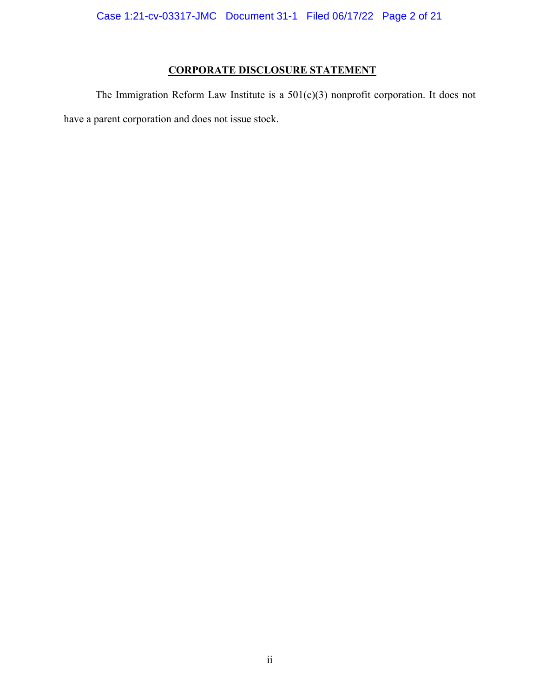## **CORPORATE DISCLOSURE STATEMENT**

The Immigration Reform Law Institute is a 501(c)(3) nonprofit corporation. It does not have a parent corporation and does not issue stock.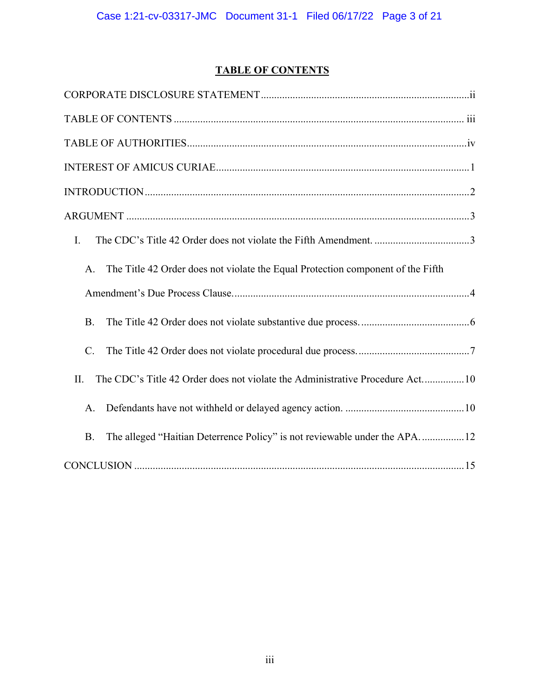# **TABLE OF CONTENTS**

| I.                                                                                     |
|----------------------------------------------------------------------------------------|
| The Title 42 Order does not violate the Equal Protection component of the Fifth<br>A.  |
|                                                                                        |
| <b>B.</b>                                                                              |
| $C_{\cdot}$                                                                            |
| The CDC's Title 42 Order does not violate the Administrative Procedure Act10<br>II.    |
| A.                                                                                     |
| The alleged "Haitian Deterrence Policy" is not reviewable under the APA12<br><b>B.</b> |
|                                                                                        |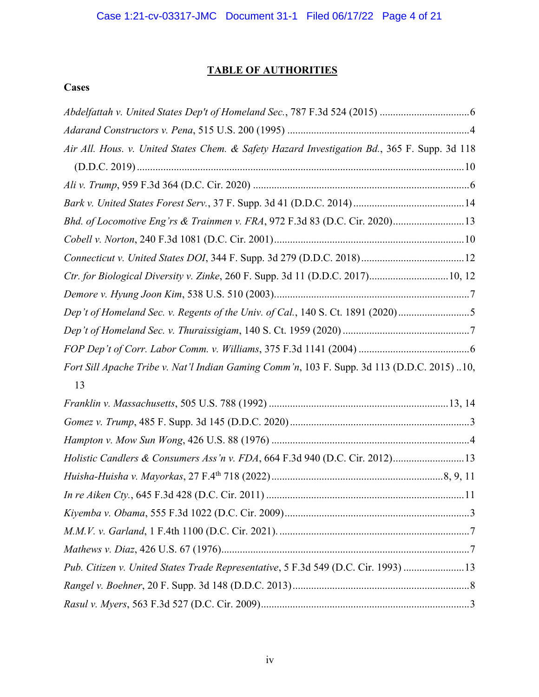# **TABLE OF AUTHORITIES**

## **Cases**

| Air All. Hous. v. United States Chem. & Safety Hazard Investigation Bd., 365 F. Supp. 3d 118 |  |
|----------------------------------------------------------------------------------------------|--|
|                                                                                              |  |
|                                                                                              |  |
|                                                                                              |  |
| Bhd. of Locomotive Eng'rs & Trainmen v. FRA, 972 F.3d 83 (D.C. Cir. 2020) 13                 |  |
|                                                                                              |  |
|                                                                                              |  |
| Ctr. for Biological Diversity v. Zinke, 260 F. Supp. 3d 11 (D.D.C. 2017)10, 12               |  |
|                                                                                              |  |
| Dep't of Homeland Sec. v. Regents of the Univ. of Cal., 140 S. Ct. 1891 (2020)5              |  |
|                                                                                              |  |
|                                                                                              |  |
| Fort Sill Apache Tribe v. Nat'l Indian Gaming Comm'n, 103 F. Supp. 3d 113 (D.D.C. 2015) 10,  |  |
| 13                                                                                           |  |
|                                                                                              |  |
|                                                                                              |  |
|                                                                                              |  |
| Holistic Candlers & Consumers Ass'n v. FDA, 664 F.3d 940 (D.C. Cir. 2012)13                  |  |
|                                                                                              |  |
|                                                                                              |  |
|                                                                                              |  |
|                                                                                              |  |
|                                                                                              |  |
| Pub. Citizen v. United States Trade Representative, 5 F.3d 549 (D.C. Cir. 1993)  13          |  |
|                                                                                              |  |
|                                                                                              |  |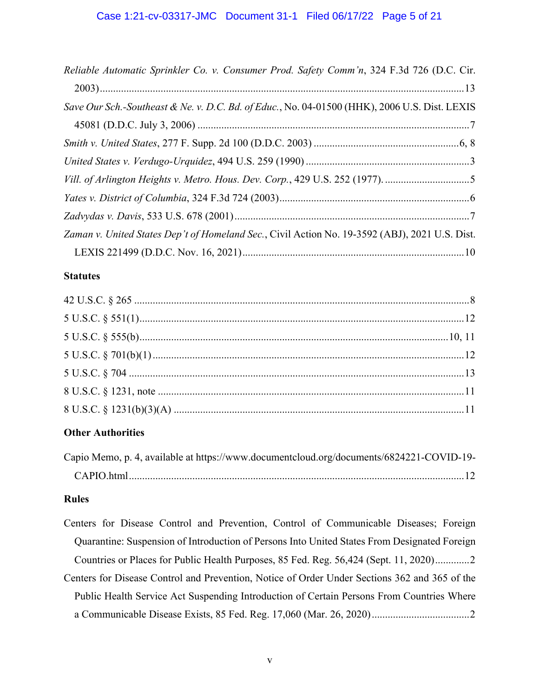| Reliable Automatic Sprinkler Co. v. Consumer Prod. Safety Comm'n, 324 F.3d 726 (D.C. Cir.      |
|------------------------------------------------------------------------------------------------|
|                                                                                                |
| Save Our Sch.-Southeast & Ne. v. D.C. Bd. of Educ., No. 04-01500 (HHK), 2006 U.S. Dist. LEXIS  |
|                                                                                                |
|                                                                                                |
|                                                                                                |
| Vill. of Arlington Heights v. Metro. Hous. Dev. Corp., 429 U.S. 252 (1977). 5                  |
|                                                                                                |
|                                                                                                |
| Zaman v. United States Dep't of Homeland Sec., Civil Action No. 19-3592 (ABJ), 2021 U.S. Dist. |
|                                                                                                |

## **Statutes**

# **Other Authorities**

| Capio Memo, p. 4, available at https://www.documentcloud.org/documents/6824221-COVID-19- |  |
|------------------------------------------------------------------------------------------|--|
|                                                                                          |  |

# **Rules**

| Centers for Disease Control and Prevention, Control of Communicable Diseases; Foreign         |
|-----------------------------------------------------------------------------------------------|
| Quarantine: Suspension of Introduction of Persons Into United States From Designated Foreign  |
| Countries or Places for Public Health Purposes, 85 Fed. Reg. 56,424 (Sept. 11, 2020)2         |
| Centers for Disease Control and Prevention, Notice of Order Under Sections 362 and 365 of the |
| Public Health Service Act Suspending Introduction of Certain Persons From Countries Where     |
|                                                                                               |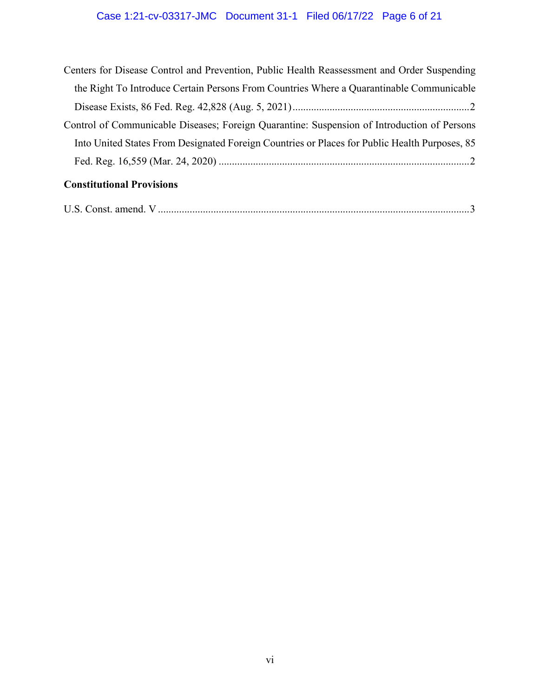# Case 1:21-cv-03317-JMC Document 31-1 Filed 06/17/22 Page 6 of 21

| Control of Communicable Diseases; Foreign Quarantine: Suspension of Introduction of Persons   |
|-----------------------------------------------------------------------------------------------|
| Into United States From Designated Foreign Countries or Places for Public Health Purposes, 85 |
| <b>Constitutional Provisions</b>                                                              |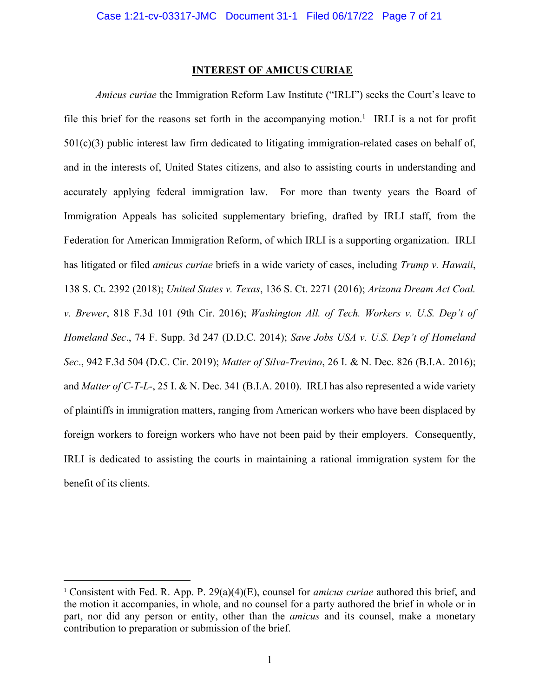#### **INTEREST OF AMICUS CURIAE**

*Amicus curiae* the Immigration Reform Law Institute ("IRLI") seeks the Court's leave to file this brief for the reasons set forth in the accompanying motion.<sup>1</sup> IRLI is a not for profit  $501(c)(3)$  public interest law firm dedicated to litigating immigration-related cases on behalf of, and in the interests of, United States citizens, and also to assisting courts in understanding and accurately applying federal immigration law. For more than twenty years the Board of Immigration Appeals has solicited supplementary briefing, drafted by IRLI staff, from the Federation for American Immigration Reform, of which IRLI is a supporting organization. IRLI has litigated or filed *amicus curiae* briefs in a wide variety of cases, including *Trump v. Hawaii*, 138 S. Ct. 2392 (2018); *United States v. Texas*, 136 S. Ct. 2271 (2016); *Arizona Dream Act Coal. v. Brewer*, 818 F.3d 101 (9th Cir. 2016); *Washington All. of Tech. Workers v. U.S. Dep't of Homeland Sec*., 74 F. Supp. 3d 247 (D.D.C. 2014); *Save Jobs USA v. U.S. Dep't of Homeland Sec*., 942 F.3d 504 (D.C. Cir. 2019); *Matter of Silva-Trevino*, 26 I. & N. Dec. 826 (B.I.A. 2016); and *Matter of C-T-L-*, 25 I. & N. Dec. 341 (B.I.A. 2010). IRLI has also represented a wide variety of plaintiffs in immigration matters, ranging from American workers who have been displaced by foreign workers to foreign workers who have not been paid by their employers. Consequently, IRLI is dedicated to assisting the courts in maintaining a rational immigration system for the benefit of its clients.

<sup>1</sup> Consistent with Fed. R. App. P. 29(a)(4)(E), counsel for *amicus curiae* authored this brief, and the motion it accompanies, in whole, and no counsel for a party authored the brief in whole or in part, nor did any person or entity, other than the *amicus* and its counsel, make a monetary contribution to preparation or submission of the brief.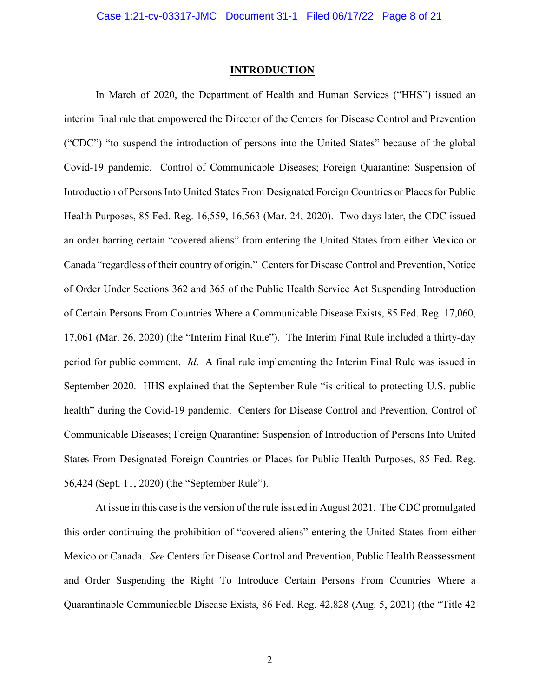#### **INTRODUCTION**

In March of 2020, the Department of Health and Human Services ("HHS") issued an interim final rule that empowered the Director of the Centers for Disease Control and Prevention ("CDC") "to suspend the introduction of persons into the United States" because of the global Covid-19 pandemic. Control of Communicable Diseases; Foreign Quarantine: Suspension of Introduction of Persons Into United States From Designated Foreign Countries or Places for Public Health Purposes, 85 Fed. Reg. 16,559, 16,563 (Mar. 24, 2020). Two days later, the CDC issued an order barring certain "covered aliens" from entering the United States from either Mexico or Canada "regardless of their country of origin." Centers for Disease Control and Prevention, Notice of Order Under Sections 362 and 365 of the Public Health Service Act Suspending Introduction of Certain Persons From Countries Where a Communicable Disease Exists, 85 Fed. Reg. 17,060, 17,061 (Mar. 26, 2020) (the "Interim Final Rule"). The Interim Final Rule included a thirty-day period for public comment. *Id*. A final rule implementing the Interim Final Rule was issued in September 2020. HHS explained that the September Rule "is critical to protecting U.S. public health" during the Covid-19 pandemic. Centers for Disease Control and Prevention, Control of Communicable Diseases; Foreign Quarantine: Suspension of Introduction of Persons Into United States From Designated Foreign Countries or Places for Public Health Purposes, 85 Fed. Reg. 56,424 (Sept. 11, 2020) (the "September Rule").

At issue in this case is the version of the rule issued in August 2021. The CDC promulgated this order continuing the prohibition of "covered aliens" entering the United States from either Mexico or Canada. *See* Centers for Disease Control and Prevention, Public Health Reassessment and Order Suspending the Right To Introduce Certain Persons From Countries Where a Quarantinable Communicable Disease Exists, 86 Fed. Reg. 42,828 (Aug. 5, 2021) (the "Title 42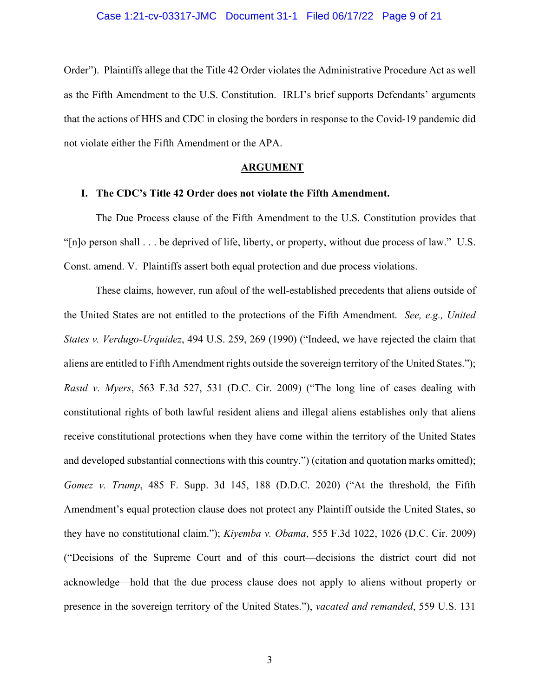Order"). Plaintiffs allege that the Title 42 Order violates the Administrative Procedure Act as well as the Fifth Amendment to the U.S. Constitution. IRLI's brief supports Defendants' arguments that the actions of HHS and CDC in closing the borders in response to the Covid-19 pandemic did not violate either the Fifth Amendment or the APA.

#### **ARGUMENT**

#### **I. The CDC's Title 42 Order does not violate the Fifth Amendment.**

The Due Process clause of the Fifth Amendment to the U.S. Constitution provides that "[n]o person shall . . . be deprived of life, liberty, or property, without due process of law." U.S. Const. amend. V. Plaintiffs assert both equal protection and due process violations.

These claims, however, run afoul of the well-established precedents that aliens outside of the United States are not entitled to the protections of the Fifth Amendment. *See, e.g., United States v. Verdugo-Urquidez*, 494 U.S. 259, 269 (1990) ("Indeed, we have rejected the claim that aliens are entitled to Fifth Amendment rights outside the sovereign territory of the United States."); *Rasul v. Myers*, 563 F.3d 527, 531 (D.C. Cir. 2009) ("The long line of cases dealing with constitutional rights of both lawful resident aliens and illegal aliens establishes only that aliens receive constitutional protections when they have come within the territory of the United States and developed substantial connections with this country.") (citation and quotation marks omitted); *Gomez v. Trump*, 485 F. Supp. 3d 145, 188 (D.D.C. 2020) ("At the threshold, the Fifth Amendment's equal protection clause does not protect any Plaintiff outside the United States, so they have no constitutional claim."); *Kiyemba v. Obama*, 555 F.3d 1022, 1026 (D.C. Cir. 2009) ("Decisions of the Supreme Court and of this court—decisions the district court did not acknowledge—hold that the due process clause does not apply to aliens without property or presence in the sovereign territory of the United States."), *vacated and remanded*, 559 U.S. 131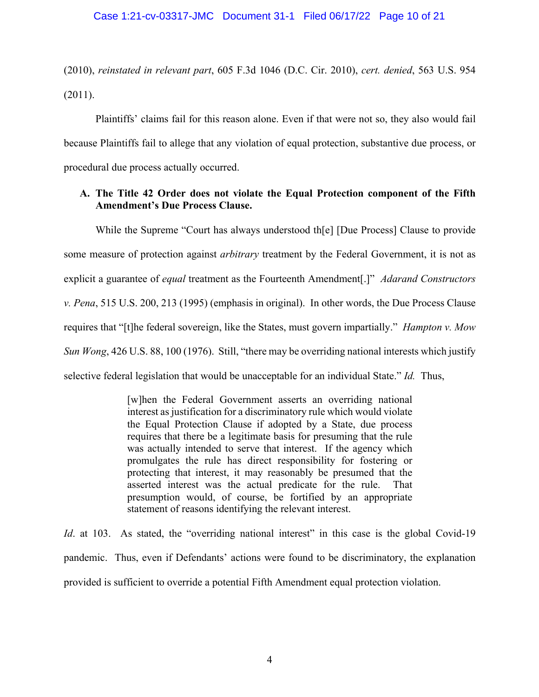(2010), *reinstated in relevant part*, 605 F.3d 1046 (D.C. Cir. 2010), *cert. denied*, 563 U.S. 954 (2011).

Plaintiffs' claims fail for this reason alone. Even if that were not so, they also would fail because Plaintiffs fail to allege that any violation of equal protection, substantive due process, or procedural due process actually occurred.

## **A. The Title 42 Order does not violate the Equal Protection component of the Fifth Amendment's Due Process Clause.**

While the Supreme "Court has always understood th[e] [Due Process] Clause to provide some measure of protection against *arbitrary* treatment by the Federal Government, it is not as explicit a guarantee of *equal* treatment as the Fourteenth Amendment[.]" *Adarand Constructors v. Pena*, 515 U.S. 200, 213 (1995) (emphasis in original). In other words, the Due Process Clause requires that "[t]he federal sovereign, like the States, must govern impartially." *Hampton v. Mow Sun Wong*, 426 U.S. 88, 100 (1976). Still, "there may be overriding national interests which justify selective federal legislation that would be unacceptable for an individual State." *Id.* Thus,

> [w]hen the Federal Government asserts an overriding national interest as justification for a discriminatory rule which would violate the Equal Protection Clause if adopted by a State, due process requires that there be a legitimate basis for presuming that the rule was actually intended to serve that interest. If the agency which promulgates the rule has direct responsibility for fostering or protecting that interest, it may reasonably be presumed that the asserted interest was the actual predicate for the rule. That presumption would, of course, be fortified by an appropriate statement of reasons identifying the relevant interest.

*Id.* at 103. As stated, the "overriding national interest" in this case is the global Covid-19 pandemic. Thus, even if Defendants' actions were found to be discriminatory, the explanation provided is sufficient to override a potential Fifth Amendment equal protection violation.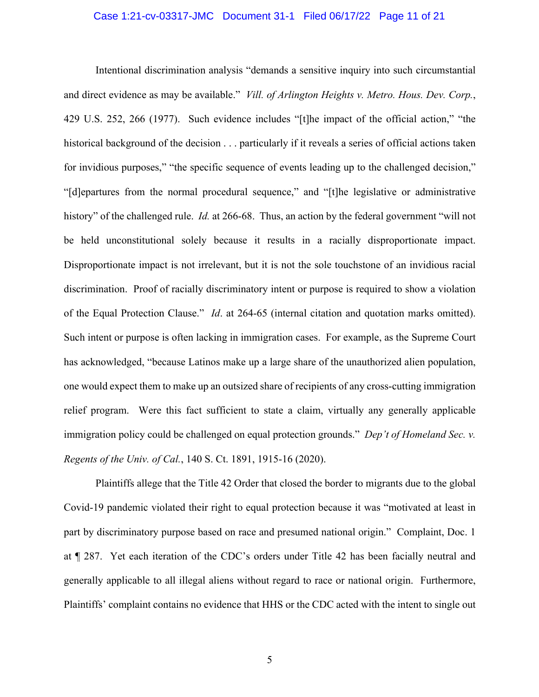#### Case 1:21-cv-03317-JMC Document 31-1 Filed 06/17/22 Page 11 of 21

Intentional discrimination analysis "demands a sensitive inquiry into such circumstantial and direct evidence as may be available." *Vill. of Arlington Heights v. Metro. Hous. Dev. Corp.*, 429 U.S. 252, 266 (1977). Such evidence includes "[t]he impact of the official action," "the historical background of the decision . . . particularly if it reveals a series of official actions taken for invidious purposes," "the specific sequence of events leading up to the challenged decision," "[d]epartures from the normal procedural sequence," and "[t]he legislative or administrative history" of the challenged rule. *Id.* at 266-68. Thus, an action by the federal government "will not be held unconstitutional solely because it results in a racially disproportionate impact. Disproportionate impact is not irrelevant, but it is not the sole touchstone of an invidious racial discrimination. Proof of racially discriminatory intent or purpose is required to show a violation of the Equal Protection Clause." *Id*. at 264-65 (internal citation and quotation marks omitted). Such intent or purpose is often lacking in immigration cases. For example, as the Supreme Court has acknowledged, "because Latinos make up a large share of the unauthorized alien population, one would expect them to make up an outsized share of recipients of any cross-cutting immigration relief program. Were this fact sufficient to state a claim, virtually any generally applicable immigration policy could be challenged on equal protection grounds." *Dep't of Homeland Sec. v. Regents of the Univ. of Cal.*, 140 S. Ct. 1891, 1915-16 (2020).

Plaintiffs allege that the Title 42 Order that closed the border to migrants due to the global Covid-19 pandemic violated their right to equal protection because it was "motivated at least in part by discriminatory purpose based on race and presumed national origin." Complaint, Doc. 1 at ¶ 287. Yet each iteration of the CDC's orders under Title 42 has been facially neutral and generally applicable to all illegal aliens without regard to race or national origin. Furthermore, Plaintiffs' complaint contains no evidence that HHS or the CDC acted with the intent to single out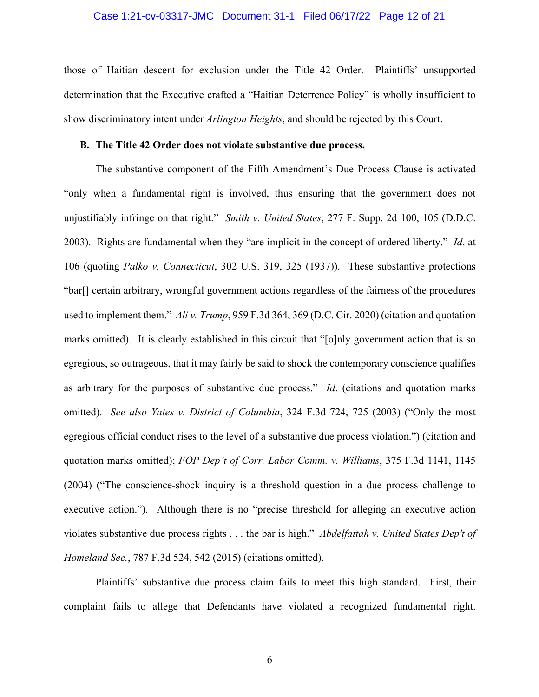#### Case 1:21-cv-03317-JMC Document 31-1 Filed 06/17/22 Page 12 of 21

those of Haitian descent for exclusion under the Title 42 Order. Plaintiffs' unsupported determination that the Executive crafted a "Haitian Deterrence Policy" is wholly insufficient to show discriminatory intent under *Arlington Heights*, and should be rejected by this Court.

#### **B. The Title 42 Order does not violate substantive due process.**

The substantive component of the Fifth Amendment's Due Process Clause is activated "only when a fundamental right is involved, thus ensuring that the government does not unjustifiably infringe on that right." *Smith v. United States*, 277 F. Supp. 2d 100, 105 (D.D.C. 2003). Rights are fundamental when they "are implicit in the concept of ordered liberty." *Id*. at 106 (quoting *Palko v. Connecticut*, 302 U.S. 319, 325 (1937)). These substantive protections "bar[] certain arbitrary, wrongful government actions regardless of the fairness of the procedures used to implement them." *Ali v. Trump*, 959 F.3d 364, 369 (D.C. Cir. 2020) (citation and quotation marks omitted). It is clearly established in this circuit that "[o]nly government action that is so egregious, so outrageous, that it may fairly be said to shock the contemporary conscience qualifies as arbitrary for the purposes of substantive due process." *Id*. (citations and quotation marks omitted). *See also Yates v. District of Columbia*, 324 F.3d 724, 725 (2003) ("Only the most egregious official conduct rises to the level of a substantive due process violation.") (citation and quotation marks omitted); *FOP Dep't of Corr. Labor Comm. v. Williams*, 375 F.3d 1141, 1145 (2004) ("The conscience-shock inquiry is a threshold question in a due process challenge to executive action."). Although there is no "precise threshold for alleging an executive action violates substantive due process rights . . . the bar is high." *Abdelfattah v. United States Dep't of Homeland Sec.*, 787 F.3d 524, 542 (2015) (citations omitted).

Plaintiffs' substantive due process claim fails to meet this high standard. First, their complaint fails to allege that Defendants have violated a recognized fundamental right.

6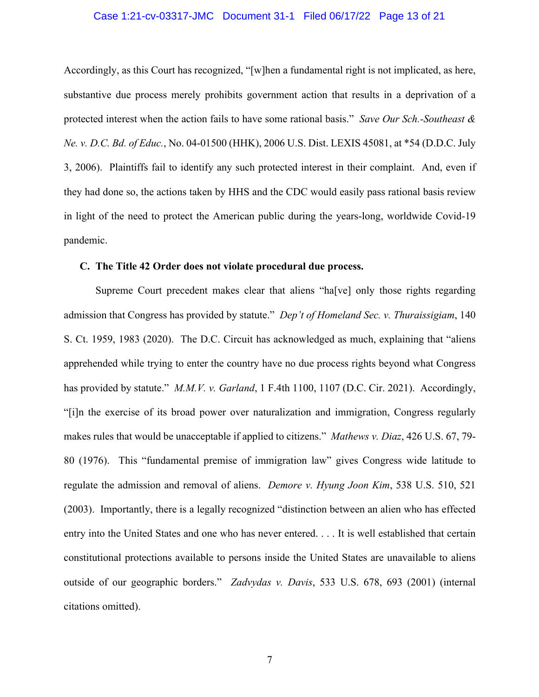#### Case 1:21-cv-03317-JMC Document 31-1 Filed 06/17/22 Page 13 of 21

Accordingly, as this Court has recognized, "[w]hen a fundamental right is not implicated, as here, substantive due process merely prohibits government action that results in a deprivation of a protected interest when the action fails to have some rational basis." *Save Our Sch.-Southeast & Ne. v. D.C. Bd. of Educ.*, No. 04-01500 (HHK), 2006 U.S. Dist. LEXIS 45081, at \*54 (D.D.C. July 3, 2006). Plaintiffs fail to identify any such protected interest in their complaint. And, even if they had done so, the actions taken by HHS and the CDC would easily pass rational basis review in light of the need to protect the American public during the years-long, worldwide Covid-19 pandemic.

### **C. The Title 42 Order does not violate procedural due process.**

Supreme Court precedent makes clear that aliens "ha[ve] only those rights regarding admission that Congress has provided by statute." *Dep't of Homeland Sec. v. Thuraissigiam*, 140 S. Ct. 1959, 1983 (2020). The D.C. Circuit has acknowledged as much, explaining that "aliens apprehended while trying to enter the country have no due process rights beyond what Congress has provided by statute." *M.M.V. v. Garland*, 1 F.4th 1100, 1107 (D.C. Cir. 2021). Accordingly, "[i]n the exercise of its broad power over naturalization and immigration, Congress regularly makes rules that would be unacceptable if applied to citizens." *Mathews v. Diaz*, 426 U.S. 67, 79- 80 (1976). This "fundamental premise of immigration law" gives Congress wide latitude to regulate the admission and removal of aliens. *Demore v. Hyung Joon Kim*, 538 U.S. 510, 521 (2003). Importantly, there is a legally recognized "distinction between an alien who has effected entry into the United States and one who has never entered. . . . It is well established that certain constitutional protections available to persons inside the United States are unavailable to aliens outside of our geographic borders." *Zadvydas v. Davis*, 533 U.S. 678, 693 (2001) (internal citations omitted).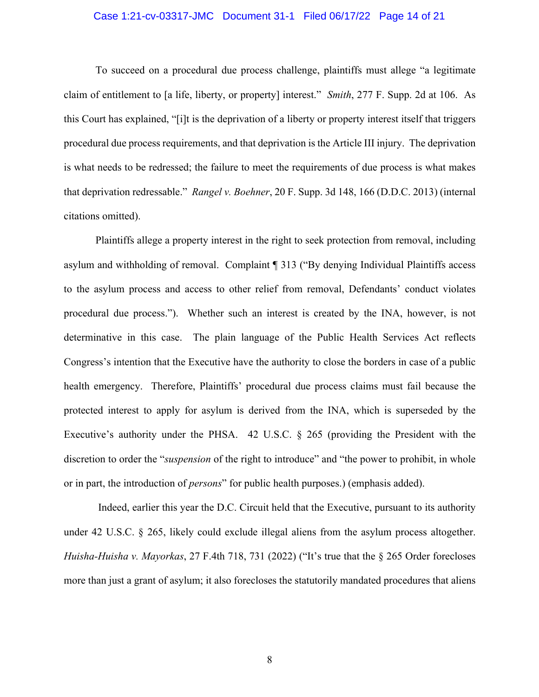#### Case 1:21-cv-03317-JMC Document 31-1 Filed 06/17/22 Page 14 of 21

To succeed on a procedural due process challenge, plaintiffs must allege "a legitimate claim of entitlement to [a life, liberty, or property] interest." *Smith*, 277 F. Supp. 2d at 106. As this Court has explained, "[i]t is the deprivation of a liberty or property interest itself that triggers procedural due process requirements, and that deprivation is the Article III injury. The deprivation is what needs to be redressed; the failure to meet the requirements of due process is what makes that deprivation redressable." *Rangel v. Boehner*, 20 F. Supp. 3d 148, 166 (D.D.C. 2013) (internal citations omitted).

Plaintiffs allege a property interest in the right to seek protection from removal, including asylum and withholding of removal. Complaint ¶ 313 ("By denying Individual Plaintiffs access to the asylum process and access to other relief from removal, Defendants' conduct violates procedural due process."). Whether such an interest is created by the INA, however, is not determinative in this case. The plain language of the Public Health Services Act reflects Congress's intention that the Executive have the authority to close the borders in case of a public health emergency. Therefore, Plaintiffs' procedural due process claims must fail because the protected interest to apply for asylum is derived from the INA, which is superseded by the Executive's authority under the PHSA. 42 U.S.C. § 265 (providing the President with the discretion to order the "*suspension* of the right to introduce" and "the power to prohibit, in whole or in part, the introduction of *persons*" for public health purposes.) (emphasis added).

Indeed, earlier this year the D.C. Circuit held that the Executive, pursuant to its authority under 42 U.S.C. § 265, likely could exclude illegal aliens from the asylum process altogether. *Huisha-Huisha v. Mayorkas*, 27 F.4th 718, 731 (2022) ("It's true that the § 265 Order forecloses more than just a grant of asylum; it also forecloses the statutorily mandated procedures that aliens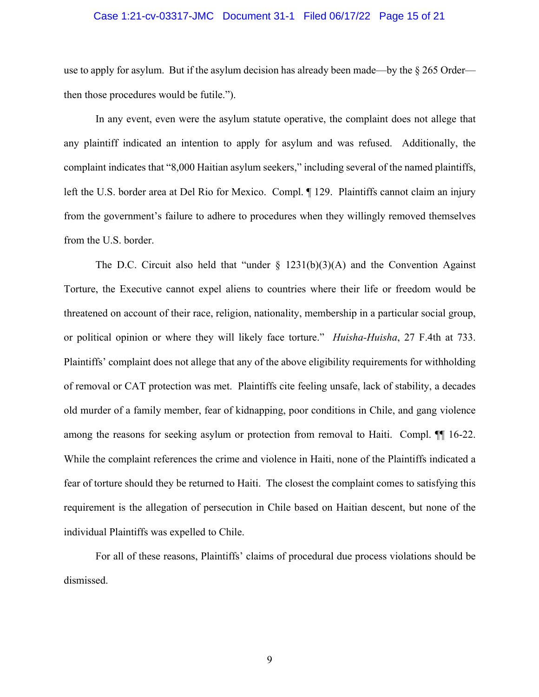#### Case 1:21-cv-03317-JMC Document 31-1 Filed 06/17/22 Page 15 of 21

use to apply for asylum. But if the asylum decision has already been made—by the  $\S 265$  Order then those procedures would be futile.").

In any event, even were the asylum statute operative, the complaint does not allege that any plaintiff indicated an intention to apply for asylum and was refused. Additionally, the complaint indicates that "8,000 Haitian asylum seekers," including several of the named plaintiffs, left the U.S. border area at Del Rio for Mexico. Compl. ¶ 129. Plaintiffs cannot claim an injury from the government's failure to adhere to procedures when they willingly removed themselves from the U.S. border.

The D.C. Circuit also held that "under  $\S$  1231(b)(3)(A) and the Convention Against Torture, the Executive cannot expel aliens to countries where their life or freedom would be threatened on account of their race, religion, nationality, membership in a particular social group, or political opinion or where they will likely face torture." *Huisha-Huisha*, 27 F.4th at 733. Plaintiffs' complaint does not allege that any of the above eligibility requirements for withholding of removal or CAT protection was met. Plaintiffs cite feeling unsafe, lack of stability, a decades old murder of a family member, fear of kidnapping, poor conditions in Chile, and gang violence among the reasons for seeking asylum or protection from removal to Haiti. Compl. ¶¶ 16-22. While the complaint references the crime and violence in Haiti, none of the Plaintiffs indicated a fear of torture should they be returned to Haiti. The closest the complaint comes to satisfying this requirement is the allegation of persecution in Chile based on Haitian descent, but none of the individual Plaintiffs was expelled to Chile.

For all of these reasons, Plaintiffs' claims of procedural due process violations should be dismissed.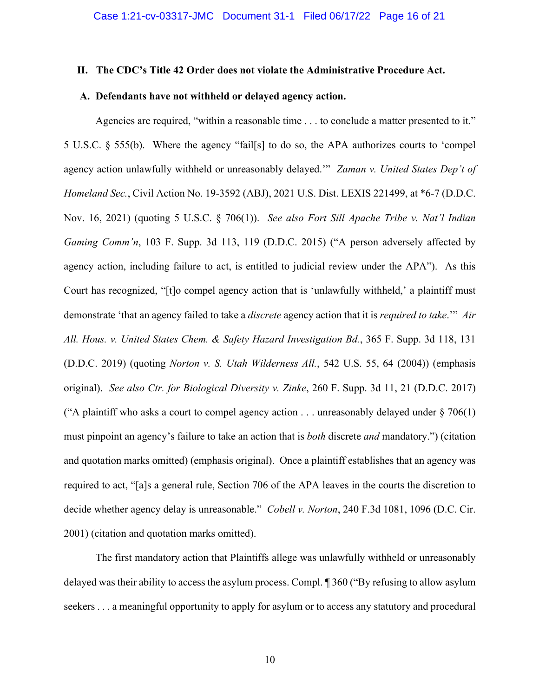#### **II. The CDC's Title 42 Order does not violate the Administrative Procedure Act.**

#### **A. Defendants have not withheld or delayed agency action.**

Agencies are required, "within a reasonable time . . . to conclude a matter presented to it." 5 U.S.C. § 555(b). Where the agency "fail[s] to do so, the APA authorizes courts to 'compel agency action unlawfully withheld or unreasonably delayed.'" *Zaman v. United States Dep't of Homeland Sec.*, Civil Action No. 19-3592 (ABJ), 2021 U.S. Dist. LEXIS 221499, at \*6-7 (D.D.C. Nov. 16, 2021) (quoting 5 U.S.C. § 706(1)). *See also Fort Sill Apache Tribe v. Nat'l Indian Gaming Comm'n*, 103 F. Supp. 3d 113, 119 (D.D.C. 2015) ("A person adversely affected by agency action, including failure to act, is entitled to judicial review under the APA"). As this Court has recognized, "[t]o compel agency action that is 'unlawfully withheld,' a plaintiff must demonstrate 'that an agency failed to take a *discrete* agency action that it is *required to take*.'" *Air All. Hous. v. United States Chem. & Safety Hazard Investigation Bd.*, 365 F. Supp. 3d 118, 131 (D.D.C. 2019) (quoting *Norton v. S. Utah Wilderness All.*, 542 U.S. 55, 64 (2004)) (emphasis original). *See also Ctr. for Biological Diversity v. Zinke*, 260 F. Supp. 3d 11, 21 (D.D.C. 2017) ("A plaintiff who asks a court to compel agency action  $\dots$  unreasonably delayed under § 706(1) must pinpoint an agency's failure to take an action that is *both* discrete *and* mandatory.") (citation and quotation marks omitted) (emphasis original). Once a plaintiff establishes that an agency was required to act, "[a]s a general rule, Section 706 of the APA leaves in the courts the discretion to decide whether agency delay is unreasonable." *Cobell v. Norton*, 240 F.3d 1081, 1096 (D.C. Cir. 2001) (citation and quotation marks omitted).

The first mandatory action that Plaintiffs allege was unlawfully withheld or unreasonably delayed was their ability to access the asylum process. Compl. ¶ 360 ("By refusing to allow asylum seekers . . . a meaningful opportunity to apply for asylum or to access any statutory and procedural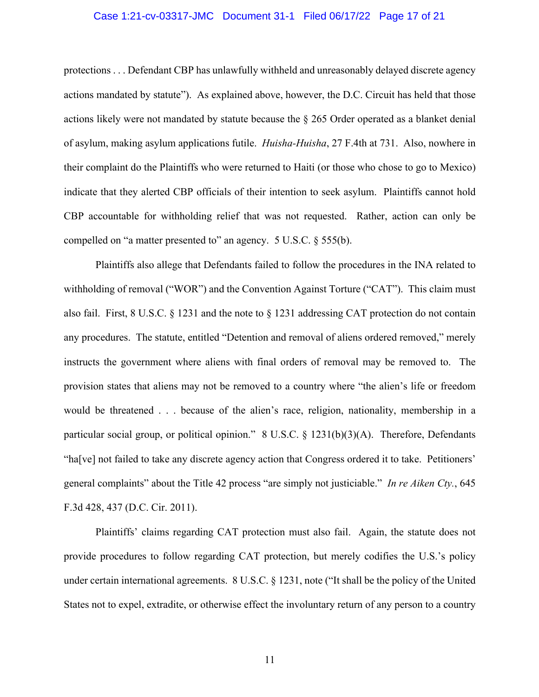#### Case 1:21-cv-03317-JMC Document 31-1 Filed 06/17/22 Page 17 of 21

protections . . . Defendant CBP has unlawfully withheld and unreasonably delayed discrete agency actions mandated by statute"). As explained above, however, the D.C. Circuit has held that those actions likely were not mandated by statute because the § 265 Order operated as a blanket denial of asylum, making asylum applications futile. *Huisha-Huisha*, 27 F.4th at 731. Also, nowhere in their complaint do the Plaintiffs who were returned to Haiti (or those who chose to go to Mexico) indicate that they alerted CBP officials of their intention to seek asylum. Plaintiffs cannot hold CBP accountable for withholding relief that was not requested. Rather, action can only be compelled on "a matter presented to" an agency. 5 U.S.C. § 555(b).

Plaintiffs also allege that Defendants failed to follow the procedures in the INA related to withholding of removal ("WOR") and the Convention Against Torture ("CAT"). This claim must also fail. First, 8 U.S.C.  $\S$  1231 and the note to  $\S$  1231 addressing CAT protection do not contain any procedures. The statute, entitled "Detention and removal of aliens ordered removed," merely instructs the government where aliens with final orders of removal may be removed to. The provision states that aliens may not be removed to a country where "the alien's life or freedom would be threatened . . . because of the alien's race, religion, nationality, membership in a particular social group, or political opinion." 8 U.S.C. § 1231(b)(3)(A). Therefore, Defendants "ha[ve] not failed to take any discrete agency action that Congress ordered it to take. Petitioners' general complaints" about the Title 42 process "are simply not justiciable." *In re Aiken Cty.*, 645 F.3d 428, 437 (D.C. Cir. 2011).

Plaintiffs' claims regarding CAT protection must also fail. Again, the statute does not provide procedures to follow regarding CAT protection, but merely codifies the U.S.'s policy under certain international agreements. 8 U.S.C. § 1231, note ("It shall be the policy of the United States not to expel, extradite, or otherwise effect the involuntary return of any person to a country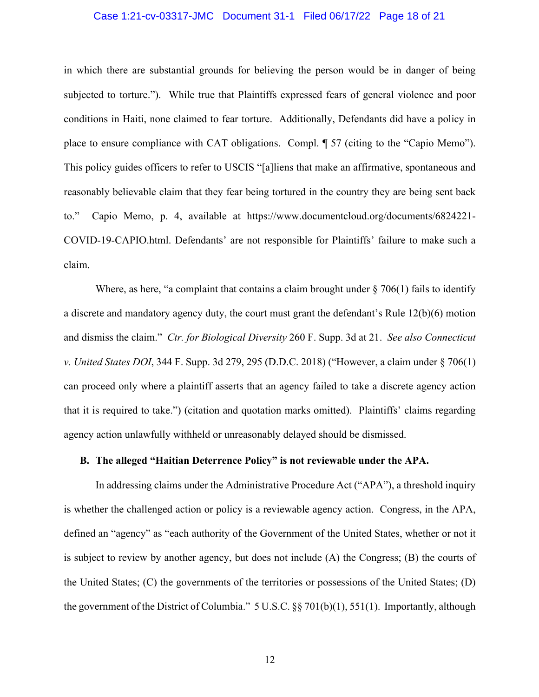#### Case 1:21-cv-03317-JMC Document 31-1 Filed 06/17/22 Page 18 of 21

in which there are substantial grounds for believing the person would be in danger of being subjected to torture."). While true that Plaintiffs expressed fears of general violence and poor conditions in Haiti, none claimed to fear torture. Additionally, Defendants did have a policy in place to ensure compliance with CAT obligations. Compl. ¶ 57 (citing to the "Capio Memo"). This policy guides officers to refer to USCIS "[a]liens that make an affirmative, spontaneous and reasonably believable claim that they fear being tortured in the country they are being sent back to." Capio Memo, p. 4, available at https://www.documentcloud.org/documents/6824221- COVID-19-CAPIO.html. Defendants' are not responsible for Plaintiffs' failure to make such a claim.

Where, as here, "a complaint that contains a claim brought under  $\S 706(1)$  fails to identify a discrete and mandatory agency duty, the court must grant the defendant's Rule 12(b)(6) motion and dismiss the claim." *Ctr. for Biological Diversity* 260 F. Supp. 3d at 21. *See also Connecticut v. United States DOI*, 344 F. Supp. 3d 279, 295 (D.D.C. 2018) ("However, a claim under § 706(1) can proceed only where a plaintiff asserts that an agency failed to take a discrete agency action that it is required to take.") (citation and quotation marks omitted). Plaintiffs' claims regarding agency action unlawfully withheld or unreasonably delayed should be dismissed.

### **B. The alleged "Haitian Deterrence Policy" is not reviewable under the APA.**

In addressing claims under the Administrative Procedure Act ("APA"), a threshold inquiry is whether the challenged action or policy is a reviewable agency action. Congress, in the APA, defined an "agency" as "each authority of the Government of the United States, whether or not it is subject to review by another agency, but does not include (A) the Congress; (B) the courts of the United States; (C) the governments of the territories or possessions of the United States; (D) the government of the District of Columbia."  $5 \text{ U.S.C.}$   $\S 8 \text{ 701(b)(1)}, 551(1).$  Importantly, although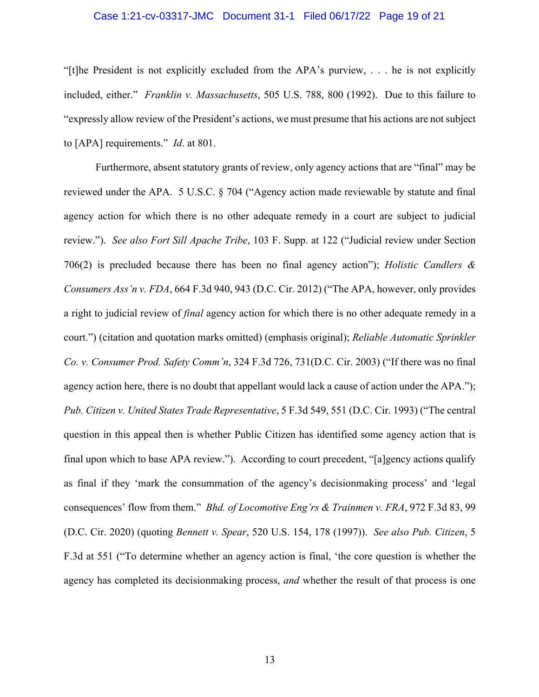#### Case 1:21-cv-03317-JMC Document 31-1 Filed 06/17/22 Page 19 of 21

"[t]he President is not explicitly excluded from the APA's purview, . . . he is not explicitly included, either." *Franklin v. Massachusetts*, 505 U.S. 788, 800 (1992). Due to this failure to "expressly allow review of the President's actions, we must presume that his actions are not subject to [APA] requirements." *Id*. at 801.

Furthermore, absent statutory grants of review, only agency actions that are "final" may be reviewed under the APA. 5 U.S.C. § 704 ("Agency action made reviewable by statute and final agency action for which there is no other adequate remedy in a court are subject to judicial review."). *See also Fort Sill Apache Tribe*, 103 F. Supp. at 122 ("Judicial review under Section 706(2) is precluded because there has been no final agency action"); *Holistic Candlers & Consumers Ass'n v. FDA*, 664 F.3d 940, 943 (D.C. Cir. 2012) ("The APA, however, only provides a right to judicial review of *final* agency action for which there is no other adequate remedy in a court.") (citation and quotation marks omitted) (emphasis original); *Reliable Automatic Sprinkler Co. v. Consumer Prod. Safety Comm'n*, 324 F.3d 726, 731(D.C. Cir. 2003) ("If there was no final agency action here, there is no doubt that appellant would lack a cause of action under the APA."); *Pub. Citizen v. United States Trade Representative*, 5 F.3d 549, 551 (D.C. Cir. 1993) ("The central question in this appeal then is whether Public Citizen has identified some agency action that is final upon which to base APA review."). According to court precedent, "[a]gency actions qualify as final if they 'mark the consummation of the agency's decisionmaking process' and 'legal consequences' flow from them." *Bhd. of Locomotive Eng'rs & Trainmen v. FRA*, 972 F.3d 83, 99 (D.C. Cir. 2020) (quoting *Bennett v. Spear*, 520 U.S. 154, 178 (1997)). *See also Pub. Citizen*, 5 F.3d at 551 ("To determine whether an agency action is final, 'the core question is whether the agency has completed its decisionmaking process, *and* whether the result of that process is one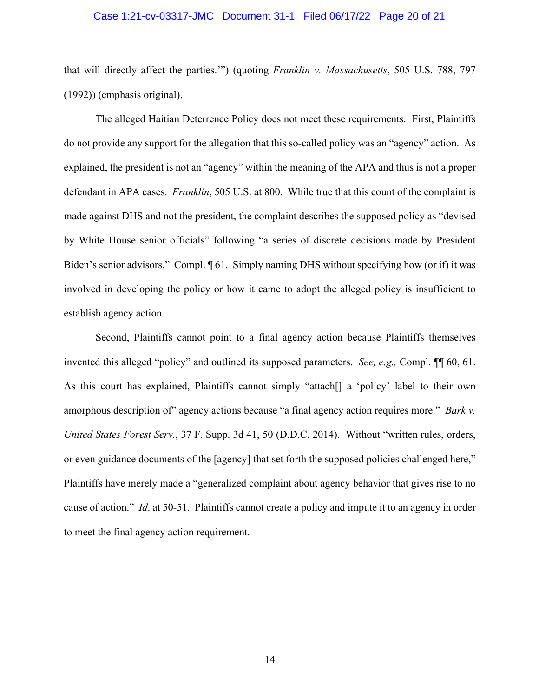#### Case 1:21-cv-03317-JMC Document 31-1 Filed 06/17/22 Page 20 of 21

that will directly affect the parties.'") (quoting *Franklin v. Massachusetts*, 505 U.S. 788, 797 (1992)) (emphasis original).

The alleged Haitian Deterrence Policy does not meet these requirements. First, Plaintiffs do not provide any support for the allegation that this so-called policy was an "agency" action. As explained, the president is not an "agency" within the meaning of the APA and thus is not a proper defendant in APA cases. *Franklin*, 505 U.S. at 800. While true that this count of the complaint is made against DHS and not the president, the complaint describes the supposed policy as "devised by White House senior officials" following "a series of discrete decisions made by President Biden's senior advisors." Compl.  $\P 61$ . Simply naming DHS without specifying how (or if) it was involved in developing the policy or how it came to adopt the alleged policy is insufficient to establish agency action.

Second, Plaintiffs cannot point to a final agency action because Plaintiffs themselves invented this alleged "policy" and outlined its supposed parameters. *See, e.g.,* Compl. ¶¶ 60, 61. As this court has explained, Plaintiffs cannot simply "attach[] a 'policy' label to their own amorphous description of" agency actions because "a final agency action requires more." *Bark v. United States Forest Serv.*, 37 F. Supp. 3d 41, 50 (D.D.C. 2014). Without "written rules, orders, or even guidance documents of the [agency] that set forth the supposed policies challenged here," Plaintiffs have merely made a "generalized complaint about agency behavior that gives rise to no cause of action." *Id*. at 50-51. Plaintiffs cannot create a policy and impute it to an agency in order to meet the final agency action requirement.